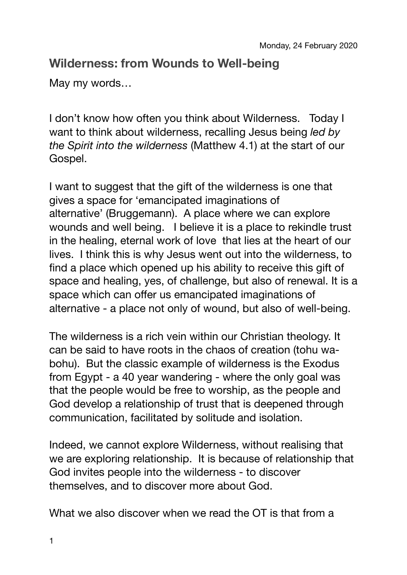## **Wilderness: from Wounds to Well-being**

May my words…

I don't know how often you think about Wilderness. Today I want to think about wilderness, recalling Jesus being *led by the Spirit into the wilderness* (Matthew 4.1) at the start of our Gospel.

I want to suggest that the gift of the wilderness is one that gives a space for 'emancipated imaginations of alternative' (Bruggemann). A place where we can explore wounds and well being. I believe it is a place to rekindle trust in the healing, eternal work of love that lies at the heart of our lives. I think this is why Jesus went out into the wilderness, to find a place which opened up his ability to receive this gift of space and healing, yes, of challenge, but also of renewal. It is a space which can offer us emancipated imaginations of alternative - a place not only of wound, but also of well-being.

The wilderness is a rich vein within our Christian theology. It can be said to have roots in the chaos of creation (tohu wabohu). But the classic example of wilderness is the Exodus from Egypt - a 40 year wandering - where the only goal was that the people would be free to worship, as the people and God develop a relationship of trust that is deepened through communication, facilitated by solitude and isolation.

Indeed, we cannot explore Wilderness, without realising that we are exploring relationship. It is because of relationship that God invites people into the wilderness - to discover themselves, and to discover more about God.

What we also discover when we read the OT is that from a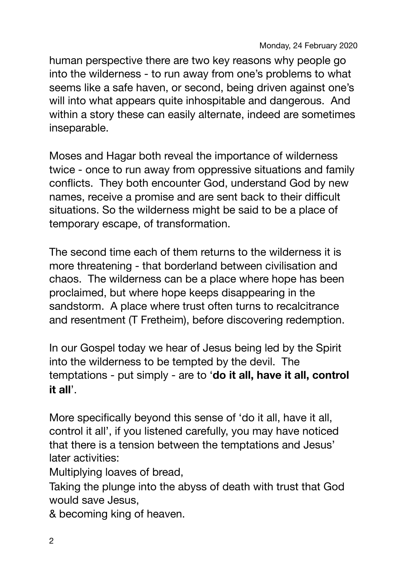human perspective there are two key reasons why people go into the wilderness - to run away from one's problems to what seems like a safe haven, or second, being driven against one's will into what appears quite inhospitable and dangerous. And within a story these can easily alternate, indeed are sometimes inseparable.

Moses and Hagar both reveal the importance of wilderness twice - once to run away from oppressive situations and family conflicts. They both encounter God, understand God by new names, receive a promise and are sent back to their difficult situations. So the wilderness might be said to be a place of temporary escape, of transformation.

The second time each of them returns to the wilderness it is more threatening - that borderland between civilisation and chaos. The wilderness can be a place where hope has been proclaimed, but where hope keeps disappearing in the sandstorm. A place where trust often turns to recalcitrance and resentment (T Fretheim), before discovering redemption.

In our Gospel today we hear of Jesus being led by the Spirit into the wilderness to be tempted by the devil. The temptations - put simply - are to '**do it all, have it all, control it all**'.

More specifically beyond this sense of 'do it all, have it all, control it all', if you listened carefully, you may have noticed that there is a tension between the temptations and Jesus' later activities:

Multiplying loaves of bread,

Taking the plunge into the abyss of death with trust that God would save Jesus,

& becoming king of heaven.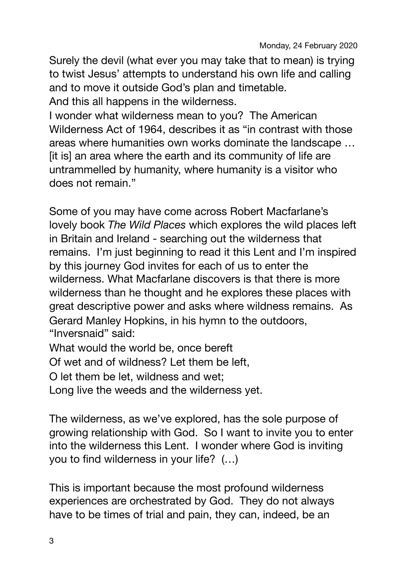Surely the devil (what ever you may take that to mean) is trying to twist Jesus' attempts to understand his own life and calling and to move it outside God's plan and timetable. And this all happens in the wilderness.

I wonder what wilderness mean to you? The American Wilderness Act of 1964, describes it as "in contrast with those areas where humanities own works dominate the landscape … [it is] an area where the earth and its community of life are untrammelled by humanity, where humanity is a visitor who does not remain."

Some of you may have come across Robert Macfarlane's lovely book *The Wild Places* which explores the wild places left in Britain and Ireland - searching out the wilderness that remains. I'm just beginning to read it this Lent and I'm inspired by this journey God invites for each of us to enter the wilderness. What Macfarlane discovers is that there is more wilderness than he thought and he explores these places with great descriptive power and asks where wildness remains. As Gerard Manley Hopkins, in his hymn to the outdoors, "Inversnaid" said:

What would the world be, once bereft

Of wet and of wildness? Let them be left,

O let them be let, wildness and wet;

Long live the weeds and the wilderness yet.

The wilderness, as we've explored, has the sole purpose of growing relationship with God. So I want to invite you to enter into the wilderness this Lent. I wonder where God is inviting you to find wilderness in your life? (…)

This is important because the most profound wilderness experiences are orchestrated by God. They do not always have to be times of trial and pain, they can, indeed, be an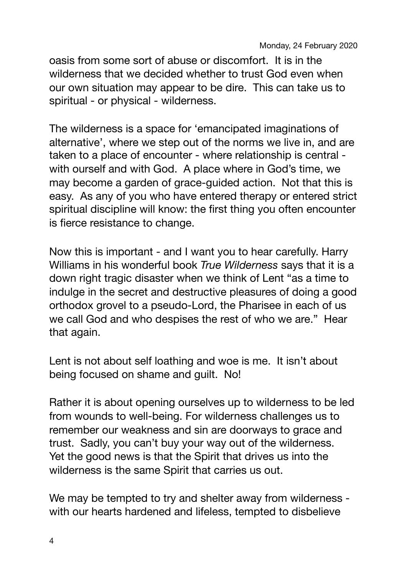oasis from some sort of abuse or discomfort. It is in the wilderness that we decided whether to trust God even when our own situation may appear to be dire. This can take us to spiritual - or physical - wilderness.

The wilderness is a space for 'emancipated imaginations of alternative', where we step out of the norms we live in, and are taken to a place of encounter - where relationship is central with ourself and with God. A place where in God's time, we may become a garden of grace-guided action. Not that this is easy. As any of you who have entered therapy or entered strict spiritual discipline will know: the first thing you often encounter is fierce resistance to change.

Now this is important - and I want you to hear carefully. Harry Williams in his wonderful book *True Wilderness* says that it is a down right tragic disaster when we think of Lent "as a time to indulge in the secret and destructive pleasures of doing a good orthodox grovel to a pseudo-Lord, the Pharisee in each of us we call God and who despises the rest of who we are." Hear that again.

Lent is not about self loathing and woe is me. It isn't about being focused on shame and guilt. No!

Rather it is about opening ourselves up to wilderness to be led from wounds to well-being. For wilderness challenges us to remember our weakness and sin are doorways to grace and trust. Sadly, you can't buy your way out of the wilderness. Yet the good news is that the Spirit that drives us into the wilderness is the same Spirit that carries us out.

We may be tempted to try and shelter away from wilderness with our hearts hardened and lifeless, tempted to disbelieve